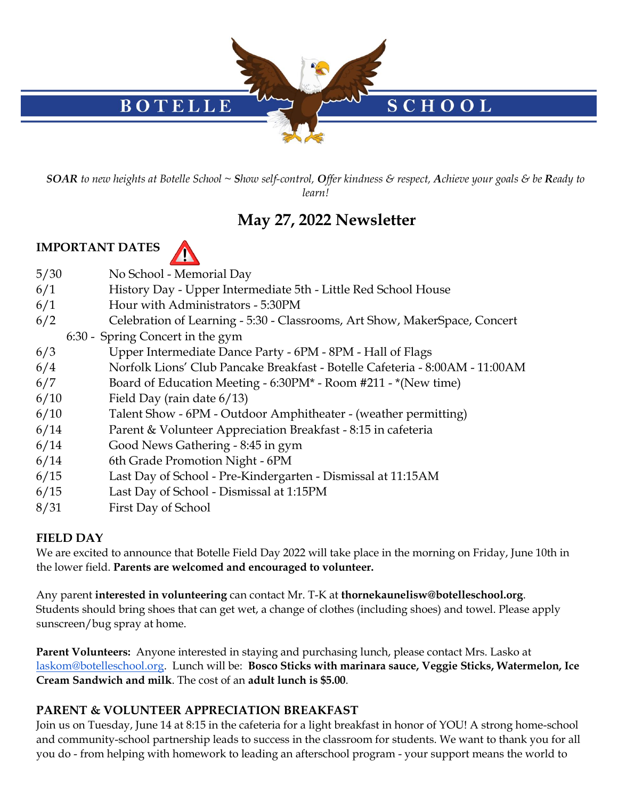

*SOAR to new heights at Botelle School ~ Show self-control, Offer kindness & respect, Achieve your goals & be Ready to learn!*

# **May 27, 2022 Newsletter**

#### **IMPORTANT DATES**



- 5/30 No School Memorial Day
- 6/1 History Day Upper Intermediate 5th Little Red School House
- 6/1 Hour with Administrators 5:30PM
- 6/2 Celebration of Learning 5:30 Classrooms, Art Show, MakerSpace, Concert
	- 6:30 Spring Concert in the gym
- 6/3 Upper Intermediate Dance Party 6PM 8PM Hall of Flags
- 6/4 Norfolk Lions' Club Pancake Breakfast Botelle Cafeteria 8:00AM 11:00AM
- 6/7 Board of Education Meeting 6:30PM\* Room #211 \*(New time)
- 6/10 Field Day (rain date 6/13)
- 6/10 Talent Show 6PM Outdoor Amphitheater (weather permitting)
- 6/14 Parent & Volunteer Appreciation Breakfast 8:15 in cafeteria
- 6/14 Good News Gathering 8:45 in gym
- 6/14 6th Grade Promotion Night 6PM
- 6/15 Last Day of School Pre-Kindergarten Dismissal at 11:15AM
- 6/15 Last Day of School Dismissal at 1:15PM
- 8/31 First Day of School

## **FIELD DAY**

We are excited to announce that Botelle Field Day 2022 will take place in the morning on Friday, June 10th in the lower field. **Parents are welcomed and encouraged to volunteer.** 

Any parent **interested in volunteering** can contact Mr. T-K at **thornekaunelisw@botelleschool.org**. Students should bring shoes that can get wet, a change of clothes (including shoes) and towel. Please apply sunscreen/bug spray at home.

**Parent Volunteers:** Anyone interested in staying and purchasing lunch, please contact Mrs. Lasko at [laskom@botelleschool.org.](mailto:laskom@botelleschool.org) Lunch will be: **Bosco Sticks with marinara sauce, Veggie Sticks, Watermelon, Ice Cream Sandwich and milk**. The cost of an **adult lunch is \$5.00**.

#### **PARENT & VOLUNTEER APPRECIATION BREAKFAST**

Join us on Tuesday, June 14 at 8:15 in the cafeteria for a light breakfast in honor of YOU! A strong home-school and community-school partnership leads to success in the classroom for students. We want to thank you for all you do - from helping with homework to leading an afterschool program - your support means the world to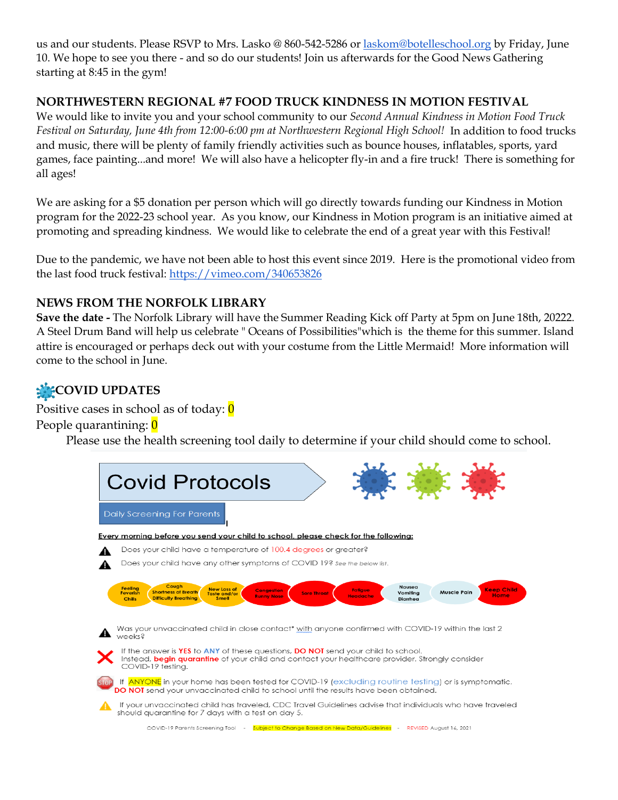us and our students. Please RSVP to Mrs. Lasko @ 860-542-5286 or [laskom@botelleschool.org](mailto:laskom@botelleschool.org) by Friday, June 10. We hope to see you there - and so do our students! Join us afterwards for the Good News Gathering starting at 8:45 in the gym!

#### **NORTHWESTERN REGIONAL #7 FOOD TRUCK KINDNESS IN MOTION FESTIVAL**

We would like to invite you and your school community to our *Second Annual Kindness in Motion Food Truck Festival on Saturday, June 4th from 12:00-6:00 pm at Northwestern Regional High School!* In addition to food trucks and music, there will be plenty of family friendly activities such as bounce houses, inflatables, sports, yard games, face painting...and more! We will also have a helicopter fly-in and a fire truck! There is something for all ages!

We are asking for a \$5 donation per person which will go directly towards funding our Kindness in Motion program for the 2022-23 school year. As you know, our Kindness in Motion program is an initiative aimed at promoting and spreading kindness. We would like to celebrate the end of a great year with this Festival!

Due to the pandemic, we have not been able to host this event since 2019. Here is the promotional video from the last food truck festival:<https://vimeo.com/340653826>

#### **NEWS FROM THE NORFOLK LIBRARY**

**Save the date -** The Norfolk Library will have the Summer Reading Kick off Party at 5pm on June 18th, 20222. A Steel Drum Band will help us celebrate " Oceans of Possibilities"which is the theme for this summer. Island attire is encouraged or perhaps deck out with your costume from the Little Mermaid! More information will come to the school in June.

## **COVID UPDATES**

Positive cases in school as of today:  $\theta$ People quarantining: 0

Please use the health screening tool daily to determine if your child should come to school.

| <b>Covid Protocols</b>                                                                                                                                                                                                                                                                                                                                                                                                                                                                                       |
|--------------------------------------------------------------------------------------------------------------------------------------------------------------------------------------------------------------------------------------------------------------------------------------------------------------------------------------------------------------------------------------------------------------------------------------------------------------------------------------------------------------|
| Daily Screening For Parents                                                                                                                                                                                                                                                                                                                                                                                                                                                                                  |
| Every morning before you send your child to school, please check for the following:                                                                                                                                                                                                                                                                                                                                                                                                                          |
| Does your child have a temperature of 100.4 degrees or greater?                                                                                                                                                                                                                                                                                                                                                                                                                                              |
| Does your child have any other symptoms of COVID 19? See the below list.                                                                                                                                                                                                                                                                                                                                                                                                                                     |
| Cough<br><b>Nausea</b><br><b>Feeling</b><br><b>New Loss of</b><br><b>Keep Child</b><br><b>Fatiaue</b><br><b>Congestion</b><br><b>Shortness of Breath</b><br><b>Muscle Pain</b><br>Vomiting<br><b>Feverish</b><br><b>Sore Throat</b><br>Taste and/or<br>Home<br><b>Runny Nose</b><br><b>Headache</b><br><b>Difficulty Breathing</b><br><b>Smell</b><br>Diarrhea<br><b>Chills</b><br>Was your unvaccinated child in close contact* with anyone confirmed with COVID-19 within the last 2<br>Weeks <sub>8</sub> |
| If the answer is YES to ANY of these questions, DO NOT send your child to school.<br>Instead, begin quarantine of your child and contact your healthcare provider. Strongly consider<br>COVID-19 testina.                                                                                                                                                                                                                                                                                                    |
| If ANYONE in your home has been tested for COVID-19 (excluding routine testing) or is symptomatic,<br>DO NOT send your unvaccinated child to school until the results have been obtained.                                                                                                                                                                                                                                                                                                                    |
| If your unvaccinated child has traveled, CDC Travel Guidelines advise that individuals who have traveled<br>should quarantine for 7 days with a test on day 5.                                                                                                                                                                                                                                                                                                                                               |
| COVID-19 Parents Screening Tool - Subject to Change Based on New Data/Guidelines - REVISED August 16, 2021                                                                                                                                                                                                                                                                                                                                                                                                   |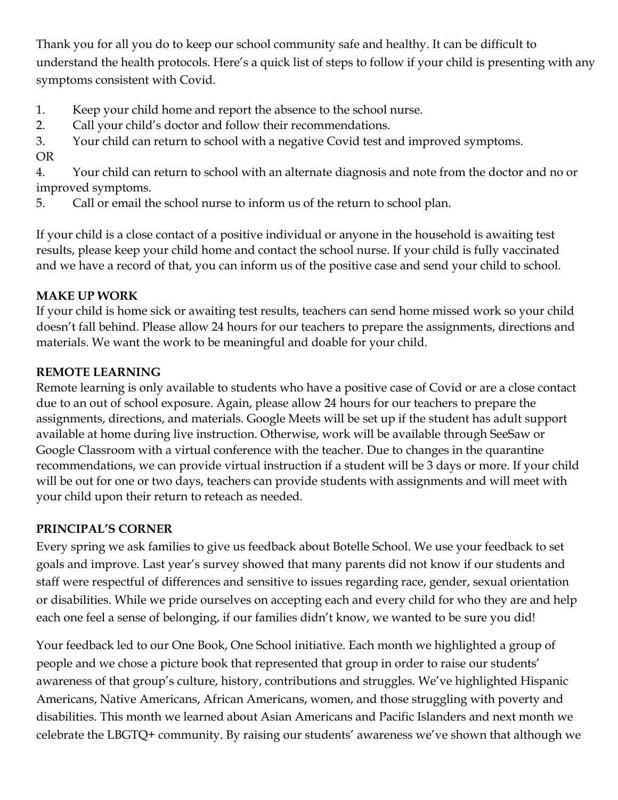Thank you for all you do to keep our school community safe and healthy. It can be difficult to understand the health protocols. Here's a quick list of steps to follow if your child is presenting with any symptoms consistent with Covid.

- 1. Keep your child home and report the absence to the school nurse.
- 2. Call your child's doctor and follow their recommendations.
- 3. Your child can return to school with a negative Covid test and improved symptoms.
- OR

4. Your child can return to school with an alternate diagnosis and note from the doctor and no or improved symptoms.

5. Call or email the school nurse to inform us of the return to school plan.

If your child is a close contact of a positive individual or anyone in the household is awaiting test results, please keep your child home and contact the school nurse. If your child is fully vaccinated and we have a record of that, you can inform us of the positive case and send your child to school.

## **MAKE UP WORK**

If your child is home sick or awaiting test results, teachers can send home missed work so your child doesn't fall behind. Please allow 24 hours for our teachers to prepare the assignments, directions and materials. We want the work to be meaningful and doable for your child.

## **REMOTE LEARNING**

Remote learning is only available to students who have a positive case of Covid or are a close contact due to an out of school exposure. Again, please allow 24 hours for our teachers to prepare the assignments, directions, and materials. Google Meets will be set up if the student has adult support available at home during live instruction. Otherwise, work will be available through SeeSaw or Google Classroom with a virtual conference with the teacher. Due to changes in the quarantine recommendations, we can provide virtual instruction if a student will be 3 days or more. If your child will be out for one or two days, teachers can provide students with assignments and will meet with your child upon their return to reteach as needed.

## **PRINCIPAL'S CORNER**

Every spring we ask families to give us feedback about Botelle School. We use your feedback to set goals and improve. Last year's survey showed that many parents did not know if our students and staff were respectful of differences and sensitive to issues regarding race, gender, sexual orientation or disabilities. While we pride ourselves on accepting each and every child for who they are and help each one feel a sense of belonging, if our families didn't know, we wanted to be sure you did!

Your feedback led to our One Book, One School initiative. Each month we highlighted a group of people and we chose a picture book that represented that group in order to raise our students' awareness of that group's culture, history, contributions and struggles. We've highlighted Hispanic Americans, Native Americans, African Americans, women, and those struggling with poverty and disabilities. This month we learned about Asian Americans and Pacific Islanders and next month we celebrate the LBGTQ+ community. By raising our students' awareness we've shown that although we